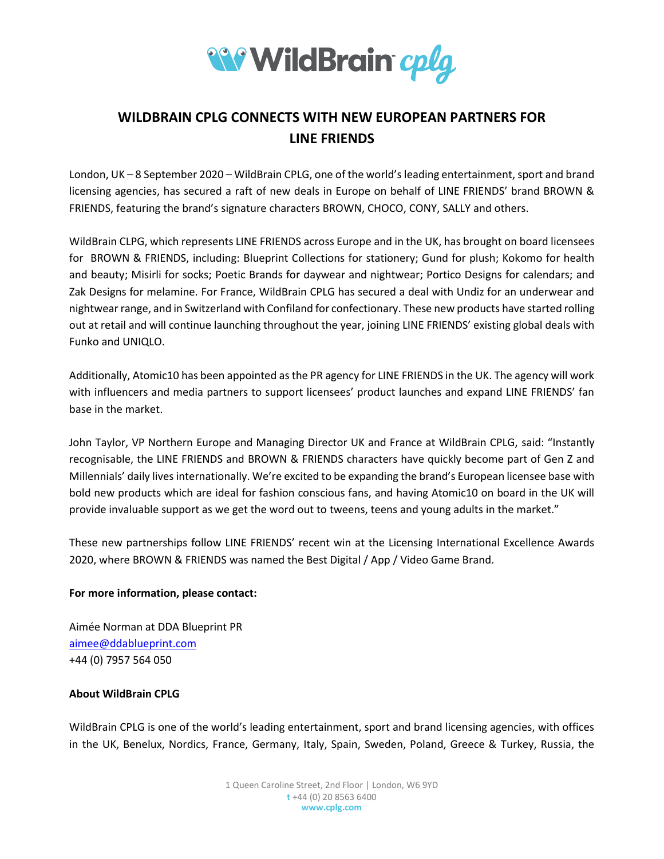

## **WILDBRAIN CPLG CONNECTS WITH NEW EUROPEAN PARTNERS FOR LINE FRIENDS**

London, UK – 8 September 2020 – WildBrain CPLG, one of the world's leading entertainment, sport and brand licensing agencies, has secured a raft of new deals in Europe on behalf of LINE FRIENDS' brand BROWN & FRIENDS, featuring the brand's signature characters BROWN, CHOCO, CONY, SALLY and others.

WildBrain CLPG, which represents LINE FRIENDS across Europe and in the UK, has brought on board licensees for BROWN & FRIENDS, including: Blueprint Collections for stationery; Gund for plush; Kokomo for health and beauty; Misirli for socks; Poetic Brands for daywear and nightwear; Portico Designs for calendars; and Zak Designs for melamine. For France, WildBrain CPLG has secured a deal with Undiz for an underwear and nightwear range, and in Switzerland with Confiland for confectionary. These new products have started rolling out at retail and will continue launching throughout the year, joining LINE FRIENDS' existing global deals with Funko and UNIQLO.

Additionally, Atomic10 has been appointed as the PR agency for LINE FRIENDS in the UK. The agency will work with influencers and media partners to support licensees' product launches and expand LINE FRIENDS' fan base in the market.

John Taylor, VP Northern Europe and Managing Director UK and France at WildBrain CPLG, said: "Instantly recognisable, the LINE FRIENDS and BROWN & FRIENDS characters have quickly become part of Gen Z and Millennials' daily lives internationally. We're excited to be expanding the brand's European licensee base with bold new products which are ideal for fashion conscious fans, and having Atomic10 on board in the UK will provide invaluable support as we get the word out to tweens, teens and young adults in the market."

These new partnerships follow LINE FRIENDS' recent win at the Licensing International Excellence Awards 2020, where BROWN & FRIENDS was named the Best Digital / App / Video Game Brand.

## **For more information, please contact:**

Aimée Norman at DDA Blueprint PR [aimee@ddablueprint.com](mailto:aimee@ddablueprint.com) +44 (0) 7957 564 050

## **About WildBrain CPLG**

WildBrain CPLG is one of the world's leading entertainment, sport and brand licensing agencies, with offices in the UK, Benelux, Nordics, France, Germany, Italy, Spain, Sweden, Poland, Greece & Turkey, Russia, the